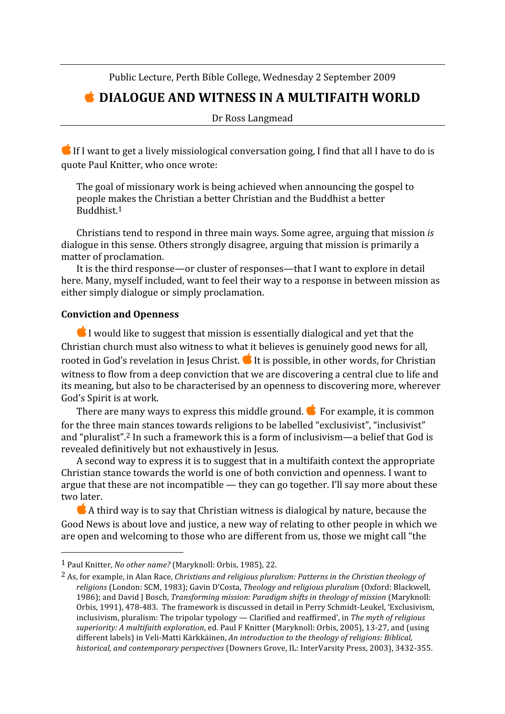Public
Lecture,
Perth
Bible
College,
Wednesday
2
September
2009

# **C** DIALOGUE AND WITNESS IN A MULTIFAITH WORLD

Dr
Ross
Langmead

 $\bullet$  If I want to get a lively missiological conversation going, I find that all I have to do is quote
Paul
Knitter,
who
once
wrote:

The
goal
of
missionary
work
is
being
achieved
when
announcing
the
gospel
to people
makes
the
Christian
a
better
Christian
and
the
Buddhist
a
better Buddhist.1

Christians
tend
to
respond
in
three
main
ways.
Some
agree,
arguing
that
mission *is* dialogue in this sense. Others strongly disagree, arguing that mission is primarily a matter
of
proclamation.

It is the third response—or cluster of responses—that I want to explore in detail here.
Many,
myself
included,
want
to
feel
their
way
to
a
response
in
between
mission
as either
simply
dialogue
or
simply
proclamation.

#### **Conviction
and
Openness**

 $\overline{a}$ 

I would like to suggest that mission is essentially dialogical and yet that the Christian
church
must
also
witness
to
what
it
believes
is
genuinely
good
news
for
all, rooted in God's revelation in Jesus Christ. it is possible, in other words, for Christian witness to flow from a deep conviction that we are discovering a central clue to life and its
meaning,
but
also
to
be
characterised
by
an
openness
to
discovering
more,
wherever God's
Spirit
is
at
work.

There are many ways to express this middle ground. **C** For example, it is common for the three main stances towards religions to be labelled "exclusivist", "inclusivist" and "pluralist".<sup>2</sup> In such a framework this is a form of inclusivism—a belief that God is revealed
definitively
but
not
exhaustively
in
Jesus.

A second way to express it is to suggest that in a multifaith context the appropriate Christian stance towards the world is one of both conviction and openness. I want to argue that these are not incompatible — they can go together. I'll say more about these two
later.

 $\bullet$  A third way is to say that Christian witness is dialogical by nature, because the Good News is about love and justice, a new way of relating to other people in which we are open and welcoming to those who are different from us, those we might call "the

<sup>1</sup> Paul
Knitter, *No
other
name?*(Maryknoll:
Orbis,
1985),
22.

<sup>&</sup>lt;sup>2</sup> As, for example, in Alan Race, *Christians and religious pluralism: Patterns in the Christian theology of* religions (London: SCM, 1983); Gavin D'Costa, Theology and religious pluralism (Oxford: Blackwell, 1986); and David J Bosch, *Transforming mission: Paradigm shifts in theology of mission* (Maryknoll: Orbis, 1991), 478-483. The framework is discussed in detail in Perry Schmidt-Leukel, 'Exclusivism, inclusivism,
pluralism:
The
tripolar
typology
—
Clarified
and
reaffirmed',
in *The
myth
of
religious*  superiority: A multifaith exploration, ed. Paul F Knitter (Maryknoll: Orbis, 2005), 13-27, and (using different labels) in Veli-Matti Kärkkäinen. An introduction to the theology of religions: Biblical, historical, and contemporary perspectives (Downers Grove, IL: InterVarsity Press, 2003), 3432-355.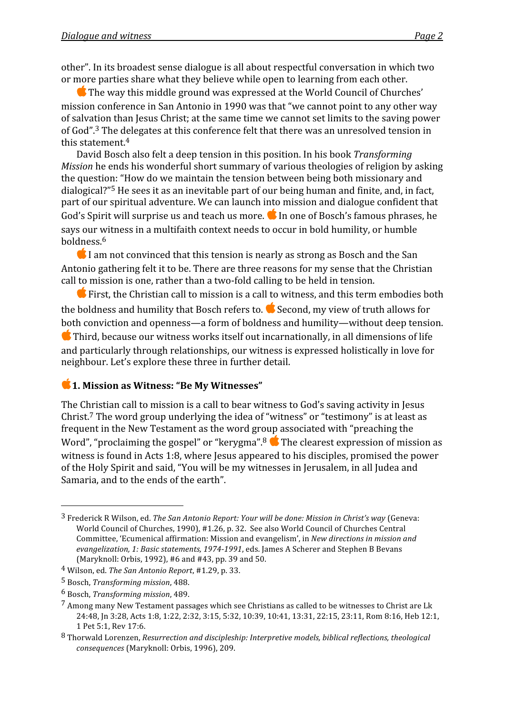other".
In
its
broadest
sense
dialogue
is
all
about
respectful
conversation
in
which
two or
more
parties
share
what
they
believe
while
open
to
learning
from
each
other.

**The way this middle ground was expressed at the World Council of Churches'** mission
conference
in
San
Antonio
in
1990
was
that
"we
cannot
point
to
any
other
way of
salvation
than
Jesus
Christ;
at
the
same
time
we
cannot
set
limits
to
the
saving
power of
God".3
The
delegates
at
this
conference
felt
that
there
was
an
unresolved
tension
in this
statement.4

David
Bosch
also
felt
a
deep
tension
in
this
position.
In
his
book *Transforming Mission* he ends his wonderful short summary of various theologies of religion by asking the
question:
"How
do
we
maintain
the
tension
between
being
both
missionary
and dialogical?"5
He
sees
it
as
an
inevitable
part
of
our
being
human
and
finite,
and,
in
fact, part
of
our
spiritual
adventure.
We
can
launch
into
mission
and
dialogue
confident
that God's Spirit will surprise us and teach us more. In one of Bosch's famous phrases, he says our witness in a multifaith context needs to occur in bold humility, or humble boldness.6

I am not convinced that this tension is nearly as strong as Bosch and the San Antonio gathering felt it to be. There are three reasons for my sense that the Christian call
to
mission
is
one,
rather
than
a
two‐fold
calling
to
be
held
in
tension.

 $\bullet$  First, the Christian call to mission is a call to witness, and this term embodies both the boldness and humility that Bosch refers to. Second, my view of truth allows for both
conviction
and
openness—a
form
of
boldness
and
humility—without
deep
tension. **C** Third, because our witness works itself out incarnationally, in all dimensions of life and
particularly
through
relationships,
our
witness
is
expressed
holistically
in
love
for neighbour.
Let's
explore
these
three
in
further
detail.

## **1.** Mission as Witness: "Be My Witnesses"

The Christian call to mission is a call to bear witness to God's saving activity in Jesus Christ.<sup>7</sup> The word group underlying the idea of "witness" or "testimony" is at least as frequent
in
the
New
Testament
as
the
word
group
associated
with
"preaching
the Word", "proclaiming the gospel" or "kerygma".<sup>8</sup>  $\bullet$  The clearest expression of mission as witness is found in Acts 1:8, where Jesus appeared to his disciples, promised the power of
the
Holy
Spirit
and
said,
"You
will
be
my
witnesses
in
Jerusalem,
in
all
Judea
and Samaria, and to the ends of the earth".

 $\overline{a}$ 

<sup>3</sup> Frederick
R
Wilson,
ed. *The
San
Antonio
Report:
Your
will
be
done:
Mission
in
Christ's
way*(Geneva: World Council of Churches, 1990), #1.26, p. 32. See also World Council of Churches Central Committee,
'Ecumenical
affirmation:
Mission
and
evangelism',
in *New
directions
in
mission
and*  evangelization, 1: Basic statements, 1974-1991, eds. James A Scherer and Stephen B Bevans (Maryknoll:
Orbis,
1992),
#6
and
#43,
pp.
39
and
50.

<sup>4</sup> Wilson,
ed. *The
San
Antonio
Report*,
#1.29,
p.
33.

<sup>5</sup> Bosch, *Transforming
mission*,
488.

<sup>6</sup> Bosch, *Transforming
mission*,
489.

<sup>&</sup>lt;sup>7</sup> Among many New Testament passages which see Christians as called to be witnesses to Christ are Lk 24:48, In 3:28, Acts 1:8, 1:22, 2:32, 3:15, 5:32, 10:39, 10:41, 13:31, 22:15, 23:11, Rom 8:16, Heb 12:1, 1
Pet
5:1,
Rev
17:6.

<sup>8</sup> Thorwald Lorenzen, Resurrection and discipleship: Interpretive models, biblical reflections, theological *consequences*(Maryknoll:
Orbis,
1996),
209.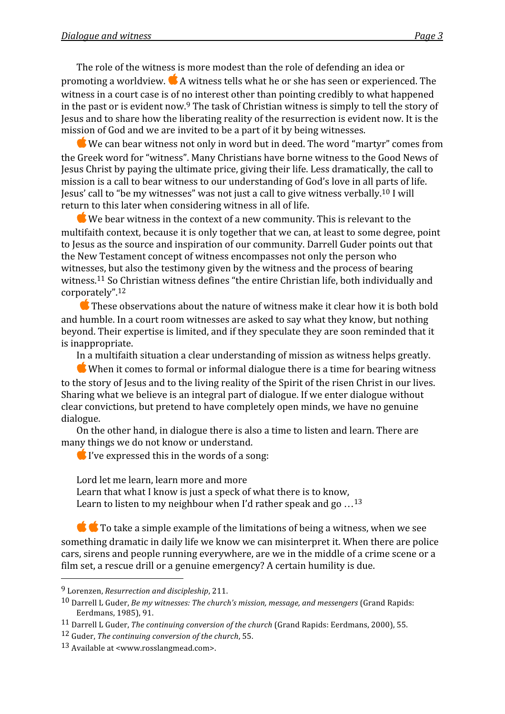The role of the witness is more modest than the role of defending an idea or promoting
a
worldview. A
witness
tells
what
he
or
she
has
seen
or
experienced.
The witness in a court case is of no interest other than pointing credibly to what happened in the past or is evident now.<sup>9</sup> The task of Christian witness is simply to tell the story of Jesus and to share how the liberating reality of the resurrection is evident now. It is the mission
of
God
and
we
are
invited
to
be
a
part
of
it
by
being
witnesses.

We
can
bear
witness
not
only
in
word
but
in
deed.
The
word
"martyr"
comes
from the Greek word for "witness". Many Christians have borne witness to the Good News of Jesus
Christ
by
paying
the
ultimate
price,
giving
their
life.
Less
dramatically,
the
call
to mission
is
a
call
to
bear
witness
to
our
understanding
of
God's
love
in
all
parts
of
life. Jesus' call to "be my witnesses" was not just a call to give witness verbally.<sup>10</sup> I will return to this later when considering witness in all of life.

 $\bullet$  We bear witness in the context of a new community. This is relevant to the multifaith
context,
because
it
is
only
together
that
we
can,
at
least
to
some
degree,
point to Jesus as the source and inspiration of our community. Darrell Guder points out that the New Testament concept of witness encompasses not only the person who witnesses, but also the testimony given by the witness and the process of bearing witness.<sup>11</sup> So Christian witness defines "the entire Christian life, both individually and corporately".12

**These observations about the nature of witness make it clear how it is both bold** and
humble.
In
a
court
room
witnesses
are
asked
to
say
what
they
know,
but
nothing beyond.
Their
expertise
is
limited,
and
if
they
speculate
they
are
soon
reminded
that
it is
inappropriate.

In a multifaith situation a clear understanding of mission as witness helps greatly.

When it comes to formal or informal dialogue there is a time for bearing witness to the story of Jesus and to the living reality of the Spirit of the risen Christ in our lives. Sharing
what
we
believe
is
an
integral
part
of
dialogue.
If
we
enter
dialogue
without clear
convictions,
but
pretend
to
have
completely
open
minds,
we
have
no
genuine dialogue.

On
the
other
hand,
in
dialogue
there
is
also
a
time
to
listen
and
learn.
There
are many
things
we
do
not
know
or
understand.

I've expressed this in the words of a song:

Lord
let
me
learn,
learn
more
and
more Learn that what I know is just a speck of what there is to know,

Learn to listen to my neighbour when I'd rather speak and go  $\dots$ <sup>13</sup>

**the To take a simple example of the limitations of being a witness, when we see** something dramatic in daily life we know we can misinterpret it. When there are police cars,
sirens
and
people
running
everywhere,
are
we
in
the
middle
of
a
crime
scene
or
a film set, a rescue drill or a genuine emergency? A certain humility is due.

 $\overline{a}$ 

<sup>9</sup> Lorenzen, *Resurrection
and
discipleship*,
211.

<sup>&</sup>lt;sup>10</sup> Darrell L Guder, *Be my witnesses: The church's mission, message, and messengers* (Grand Rapids: Eerdmans,
1985),
91.

<sup>&</sup>lt;sup>11</sup> Darrell L Guder, *The continuing conversion of the church* (Grand Rapids: Eerdmans, 2000), 55.

<sup>12</sup> Guder, *The
continuing
conversion
of
the
church*,
55.

<sup>13</sup>Available
at
<www.rosslangmead.com>.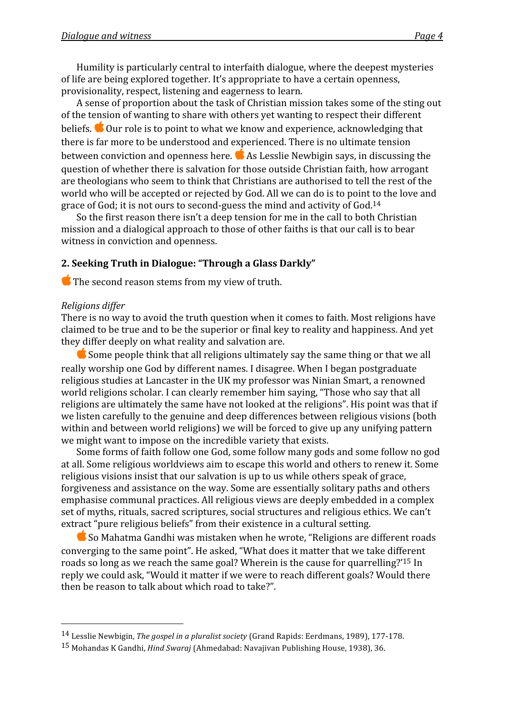Humility
is
particularly
central
to
interfaith
dialogue,
where
the
deepest
mysteries of
life
are
being
explored
together.
It's
appropriate
to
have
a
certain
openness, provisionality,
respect,
listening
and
eagerness
to
learn.

A sense of proportion about the task of Christian mission takes some of the sting out of
the
tension
of
wanting
to
share
with
others
yet
wanting
to
respect
their
different beliefs.  $\bullet$  Our role is to point to what we know and experience, acknowledging that there
is
far
more
to
be
understood
and
experienced.
There
is
no
ultimate
tension between
conviction
and
openness
here. As
Lesslie
Newbigin
says,
in
discussing
the question
of
whether
there
is
salvation
for
those
outside
Christian
faith,
how
arrogant are theologians who seem to think that Christians are authorised to tell the rest of the world who will be accepted or rejected by God. All we can do is to point to the love and grace
of
God;
it
is
not
ours
to
second‐guess
the
mind
and
activity
of
God.14

So the first reason there isn't a deep tension for me in the call to both Christian mission
and
a
dialogical
approach
to
those
of
other
faiths
is
that
our
call
is
to
bear witness
in
conviction
and
openness.

#### **2.
Seeking
Truth
in
Dialogue:
"Through
a
Glass
Darkly"**

The second reason stems from my view of truth.

#### *Religions
differ*

 $\overline{a}$ 

There is no way to avoid the truth question when it comes to faith. Most religions have claimed
to
be
true
and
to
be
the
superior
or
final
key
to
reality
and
happiness.
And
yet they
differ
deeply
on
what
reality
and
salvation
are.

**■** Some people think that all religions ultimately say the same thing or that we all really
worship
one
God
by
different
names.
I
disagree.
When
I
began
postgraduate religious
studies
at
Lancaster
in
the
UK
my
professor
was
Ninian
Smart,
a
renowned world religions scholar. I can clearly remember him saying, "Those who say that all religions are ultimately the same have not looked at the religions". His point was that if we listen carefully to the genuine and deep differences between religious visions (both within and between world religions) we will be forced to give up any unifying pattern we
might
want
to
impose
on
the
incredible
variety
that
exists.

Some
forms
of
faith
follow
one
God,
some
follow
many
gods
and
some
follow
no
god at
all.
Some
religious
worldviews
aim
to
escape
this
world
and
others
to
renew
it.
Some religious visions insist that our salvation is up to us while others speak of grace, forgiveness
and
assistance
on
the
way.
Some
are
essentially
solitary
paths
and
others emphasise
communal
practices.
All
religious
views
are
deeply
embedded
in
a
complex set
of
myths,
rituals,
sacred
scriptures,
social
structures
and
religious
ethics.
We
can't extract "pure religious beliefs" from their existence in a cultural setting.

**S** So Mahatma Gandhi was mistaken when he wrote, "Religions are different roads converging
to
the
same
point".
He
asked,
"What
does
it
matter
that
we
take
different roads
so
long
as
we
reach
the
same
goal?
Wherein
is
the
cause
for
quarrelling?'15
In reply
we
could
ask,
"Would
it
matter
if
we
were
to
reach
different
goals?
Would
there then
be
reason
to
talk
about
which
road
to
take?".

<sup>14</sup> Lesslie
Newbigin, *The
gospel
in
a
pluralist
society*(Grand
Rapids:
Eerdmans,
1989),
177‐178.

<sup>15</sup> Mohandas
K
Gandhi, *Hind
Swaraj*(Ahmedabad:
Navajivan
Publishing
House,
1938),
36.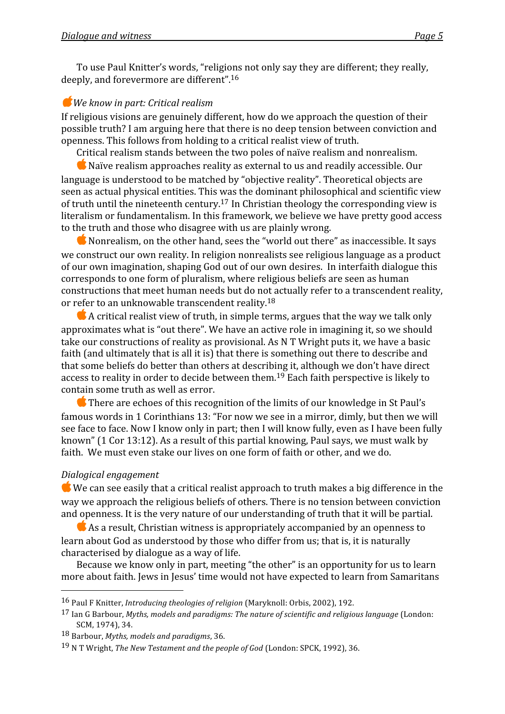To
use
Paul
Knitter's
words,
"religions
not
only
say
they
are
different;
they
really, deeply,
and
forevermore
are
different".16

# *We
know
in
part:
Critical
realism*

If religious visions are genuinely different, how do we approach the question of their possible
truth?
I
am
arguing
here
that
there
is
no
deep
tension
between
conviction
and openness.
This
follows
from
holding
to
a
critical
realist
view
of
truth.

Critical
realism
stands
between
the
two
poles
of
naïve
realism
and
nonrealism.

 $\bullet$  Naïve realism approaches reality as external to us and readily accessible. Our language is understood to be matched by "objective reality". Theoretical objects are seen as actual physical entities. This was the dominant philosophical and scientific view of truth until the nineteenth century.<sup>17</sup> In Christian theology the corresponding view is literalism or fundamentalism. In this framework, we believe we have pretty good access to
the
truth
and
those
who
disagree
with
us
are
plainly
wrong.

 $\bullet$  Nonrealism, on the other hand, sees the "world out there" as inaccessible. It says we construct our own reality. In religion nonrealists see religious language as a product of
our
own
imagination,
shaping
God
out
of
our
own
desires.

In
interfaith
dialogue
this corresponds
to
one
form
of
pluralism,
where
religious
beliefs
are
seen
as
human constructions
that
meet
human
needs
but
do
not
actually
refer
to
a
transcendent
reality, or
refer
to
an
unknowable
transcendent
reality.18

 $\bullet$  A critical realist view of truth, in simple terms, argues that the way we talk only approximates what is "out there". We have an active role in imagining it, so we should take our constructions of reality as provisional. As N T Wright puts it, we have a basic faith (and ultimately that is all it is) that there is something out there to describe and that
some
beliefs
do
better
than
others
at
describing
it,
although
we
don't
have
direct access to reality in order to decide between them.<sup>19</sup> Each faith perspective is likely to contain
some
truth
as
well
as
error.

**There are echoes of this recognition of the limits of our knowledge in St Paul's** famous words in 1 Corinthians 13: "For now we see in a mirror, dimly, but then we will see face to face. Now I know only in part; then I will know fully, even as I have been fully known" (1 Cor 13:12). As a result of this partial knowing, Paul says, we must walk by faith. We must even stake our lives on one form of faith or other, and we do.

# *Dialogical
engagement*

 $\overline{a}$ 

 $\bullet$  We can see easily that a critical realist approach to truth makes a big difference in the way we approach the religious beliefs of others. There is no tension between conviction and openness. It is the very nature of our understanding of truth that it will be partial.

As a result, Christian witness is appropriately accompanied by an openness to learn about God as understood by those who differ from us; that is, it is naturally characterised
by
dialogue
as
a
way
of
life.

Because we know only in part, meeting "the other" is an opportunity for us to learn more
about
faith.
Jews
in
Jesus'
time
would
not
have
expected
to
learn
from
Samaritans

<sup>16</sup> Paul
F
Knitter, *Introducing
theologies
of
religion*(Maryknoll:
Orbis,
2002),
192.

<sup>17</sup> Ian
G
Barbour, *Myths,
models
and
paradigms:
The
nature
of
scientific
and
religious
language*(London: SCM,
1974),
34.

<sup>18</sup> Barbour, *Myths,
models
and
paradigms*,
36.

<sup>&</sup>lt;sup>19</sup> N T Wright, The New Testament and the people of God (London: SPCK, 1992), 36.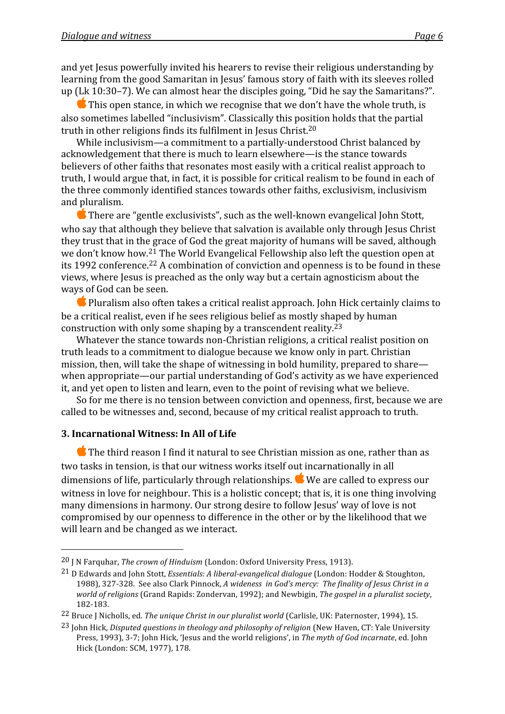and
yet
Jesus
powerfully
invited
his
hearers
to
revise
their
religious
understanding
by learning from the good Samaritan in Jesus' famous story of faith with its sleeves rolled up
(Lk
10:30–7).
We
can
almost
hear
the
disciples
going,
"Did
he
say
the
Samaritans?".

 $\blacksquare$  This open stance, in which we recognise that we don't have the whole truth, is also
sometimes
labelled
"inclusivism".
Classically
this
position
holds
that
the
partial truth
in
other
religions
finds
its
fulfilment
in
Jesus
Christ.20

While inclusivism—a commitment to a partially-understood Christ balanced by acknowledgement
that
there
is
much
to
learn
elsewhere—is
the
stance
towards believers of other faiths that resonates most easily with a critical realist approach to truth, I would argue that, in fact, it is possible for critical realism to be found in each of the
three
commonly
identified
stances
towards
other
faiths,
exclusivism,
inclusivism and
pluralism.

**■** There are "gentle exclusivists", such as the well-known evangelical John Stott, who say that although they believe that salvation is available only through Jesus Christ they
trust
that
in
the
grace
of
God
the
great
majority
of
humans
will
be
saved,
although we don't know how.<sup>21</sup> The World Evangelical Fellowship also left the question open at its 1992 conference.<sup>22</sup> A combination of conviction and openness is to be found in these views,
where
Jesus
is
preached
as
the
only
way
but
a
certain
agnosticism
about
the ways
of
God
can
be
seen.

 $\bullet$  Pluralism also often takes a critical realist approach. John Hick certainly claims to be
a
critical
realist,
even
if
he
sees
religious
belief
as
mostly
shaped
by
human construction
with
only
some
shaping
by
a
transcendent
reality.23

Whatever the stance towards non-Christian religions, a critical realist position on truth
leads
to
a
commitment
to
dialogue
because
we
know
only
in
part.
Christian mission, then, will take the shape of witnessing in bold humility, prepared to share when appropriate—our partial understanding of God's activity as we have experienced it,
and
yet
open
to
listen
and
learn,
even
to
the
point
of
revising
what
we
believe.

So for me there is no tension between conviction and openness, first, because we are called
to
be
witnesses
and,
second,
because
of
my
critical
realist
approach
to
truth.

#### **3.
Incarnational
Witness:
In
All
of
Life**

 $\overline{a}$ 

**C** The third reason I find it natural to see Christian mission as one, rather than as two tasks in tension, is that our witness works itself out incarnationally in all dimensions
of
life,
particularly
through
relationships. We
are
called
to
express
our witness in love for neighbour. This is a holistic concept; that is, it is one thing involving many
dimensions
in
harmony.
Our
strong
desire
to
follow
Jesus'
way
of
love
is
not compromised
by
our
openness
to
difference
in
the
other
or
by
the
likelihood
that
we will learn and be changed as we interact.

<sup>&</sup>lt;sup>20</sup> J N Farquhar, *The crown of Hinduism* (London: Oxford University Press, 1913).

<sup>&</sup>lt;sup>21</sup> D Edwards and John Stott, *Essentials: A liberal-evangelical dialogue* (London: Hodder & Stoughton, 1988), 327-328. See also Clark Pinnock, A wideness in God's mercy: The finality of Jesus Christ in a world of religions (Grand Rapids: Zondervan, 1992); and Newbigin, The gospel in a pluralist society, 182‐183.

<sup>&</sup>lt;sup>22</sup> Bruce J Nicholls, ed. The unique Christ in our pluralist world (Carlisle, UK: Paternoster, 1994), 15.

<sup>&</sup>lt;sup>23</sup> John Hick, Disputed questions in theology and philosophy of religion (New Haven, CT: Yale University Press, 1993), 3-7; John Hick, 'Jesus and the world religions', in The myth of God incarnate, ed. John Hick
(London:
SCM,
1977),
178.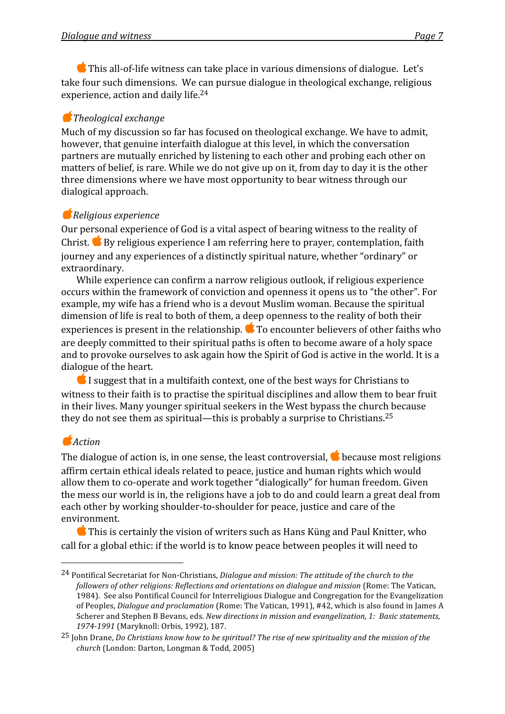**■** This all-of-life witness can take place in various dimensions of dialogue. Let's take
four
such
dimensions.

We
can
pursue
dialogue
in
theological
exchange,
religious experience,
action
and
daily
life.24

## *Theological
exchange*

Much of my discussion so far has focused on theological exchange. We have to admit, however, that genuine interfaith dialogue at this level, in which the conversation partners
are
mutually
enriched
by
listening
to
each
other
and
probing
each
other
on matters of belief, is rare. While we do not give up on it, from day to day it is the other three
dimensions
where
we
have
most
opportunity
to
bear
witness
through
our dialogical
approach.

# *Religious
experience*

Our personal experience of God is a vital aspect of bearing witness to the reality of Christ. By
religious
experience
I
am
referring
here
to
prayer,
contemplation,
faith journey
and
any
experiences
of
a
distinctly
spiritual
nature,
whether
"ordinary"
or extraordinary.

While experience can confirm a narrow religious outlook, if religious experience occurs within the framework of conviction and openness it opens us to "the other". For example,
my
wife
has
a
friend
who
is
a
devout
Muslim
woman.
Because
the
spiritual dimension of life is real to both of them, a deep openness to the reality of both their experiences is present in the relationship.  $\bullet$  To encounter believers of other faiths who are
deeply
committed
to
their
spiritual
paths
is
often
to
become
aware
of
a
holy
space and to provoke ourselves to ask again how the Spirit of God is active in the world. It is a dialogue
of
the
heart.

I suggest that in a multifaith context, one of the best ways for Christians to witness to their faith is to practise the spiritual disciplines and allow them to bear fruit in
their
lives.
Many
younger
spiritual
seekers
in
the
West
bypass
the
church
because they do not see them as spiritual—this is probably a surprise to Christians.<sup>25</sup>

# *Action*

 $\overline{a}$ 

The dialogue of action is, in one sense, the least controversial, **the because most religions** affirm certain ethical ideals related to peace, justice and human rights which would allow them to co-operate and work together "dialogically" for human freedom. Given the mess our world is in, the religions have a job to do and could learn a great deal from each other by working shoulder-to-shoulder for peace, justice and care of the environment.

**C** This is certainly the vision of writers such as Hans Küng and Paul Knitter, who call
for
a
global
ethic:
if
the
world
is
to
know
peace
between
peoples
it
will
need
to

<sup>&</sup>lt;sup>24</sup> Pontifical Secretariat for Non-Christians, Dialogue and mission: The attitude of the church to the followers of other religions: Reflections and orientations on dialogue and mission (Rome: The Vatican, 1984).

See
also
Pontifical
Council
for
Interreligious
Dialogue
and
Congregation
for
the
Evangelization of Peoples, *Dialogue and proclamation* (Rome: The Vatican, 1991), #42, which is also found in James A Scherer and Stephen B Bevans, eds. *New directions in mission and evangelization*, 1: Basic statements, 1974-1991 (Maryknoll: Orbis, 1992), 187.

<sup>&</sup>lt;sup>25</sup> John Drane, *Do Christians know how to be spiritual? The rise of new spirituality and the mission of the church*(London:
Darton,
Longman
&
Todd,
2005)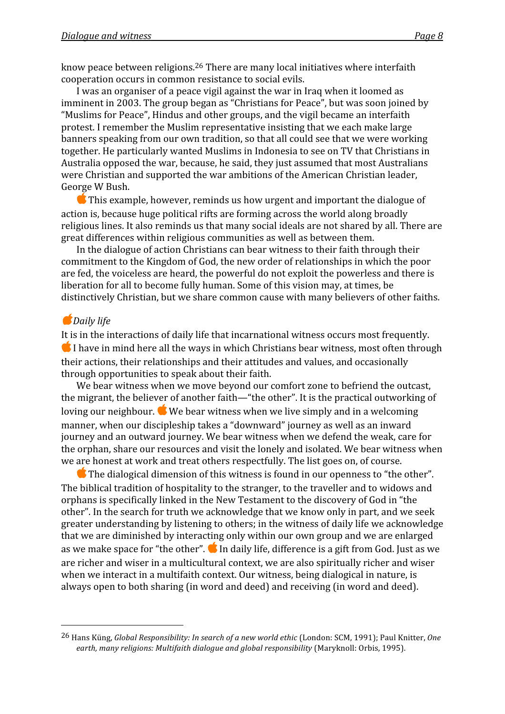know peace between religions.<sup>26</sup> There are many local initiatives where interfaith cooperation
occurs
in
common
resistance
to
social
evils.

I was an organiser of a peace vigil against the war in Iraq when it loomed as imminent in 2003. The group began as "Christians for Peace", but was soon joined by "Muslims
for
Peace",
Hindus
and
other
groups,
and
the
vigil
became
an
interfaith protest.
I
remember
the
Muslim
representative
insisting
that
we
each
make
large banners
speaking
from
our
own
tradition,
so
that
all
could
see
that
we
were
working together. He particularly wanted Muslims in Indonesia to see on TV that Christians in Australia
opposed
the
war,
because,
he
said,
they
just
assumed
that
most
Australians were
Christian
and
supported
the
war
ambitions
of
the
American
Christian
leader, George
W
Bush.

This
example,
however,
reminds
us
how
urgent
and
important
the
dialogue
of action
is,
because
huge
political
rifts
are
forming
across
the
world
along
broadly religious lines. It also reminds us that many social ideals are not shared by all. There are great
differences
within
religious
communities
as
well
as
between
them.

In the dialogue of action Christians can bear witness to their faith through their commitment
to
the
Kingdom
of
God,
the
new
order
of
relationships
in
which
the
poor are
fed,
the
voiceless
are
heard,
the
powerful
do
not
exploit
the
powerless
and
there
is liberation for all to become fully human. Some of this vision may, at times, be distinctively Christian, but we share common cause with many believers of other faiths.

## *Daily
life*

 $\overline{a}$ 

It is in the interactions of daily life that incarnational witness occurs most frequently.  $\bullet$  I have in mind here all the ways in which Christians bear witness, most often through their actions, their relationships and their attitudes and values, and occasionally through
opportunities
to
speak
about
their
faith.

We bear witness when we move beyond our comfort zone to befriend the outcast, the migrant, the believer of another faith—"the other". It is the practical outworking of loving our neighbour. We bear witness when we live simply and in a welcoming manner,
when
our
discipleship
takes
a
"downward"
journey
as
well
as
an
inward journey
and
an
outward
journey.
We
bear
witness
when
we
defend
the
weak,
care
for the
orphan,
share
our
resources
and
visit
the
lonely
and
isolated.
We
bear
witness
when we are honest at work and treat others respectfully. The list goes on, of course.

 $\bullet$  The dialogical dimension of this witness is found in our openness to "the other". The
biblical
tradition
of
hospitality
to
the
stranger,
to
the
traveller
and
to
widows
and orphans
is
specifically
linked
in
the
New
Testament
to
the
discovery
of
God
in
"the other".
In
the
search
for
truth
we
acknowledge
that
we
know
only
in
part,
and
we
seek greater
understanding
by
listening
to
others;
in
the
witness
of
daily
life
we
acknowledge that
we
are
diminished
by
interacting
only
within
our
own
group
and
we
are
enlarged as we make space for "the other".  $\bullet$  In daily life, difference is a gift from God. Just as we are
richer
and
wiser
in
a
multicultural
context,
we
are
also
spiritually
richer
and
wiser when we interact in a multifaith context. Our witness, being dialogical in nature, is always
open
to
both
sharing
(in
word
and
deed)
and
receiving
(in
word
and
deed).

<sup>26</sup> Hans
Küng, *Global
Responsibility:
In
search
of
a
new
world
ethic*(London:
SCM,
1991);
Paul
Knitter, *One*  earth, many religions: Multifaith dialogue and global responsibility (Maryknoll: Orbis, 1995).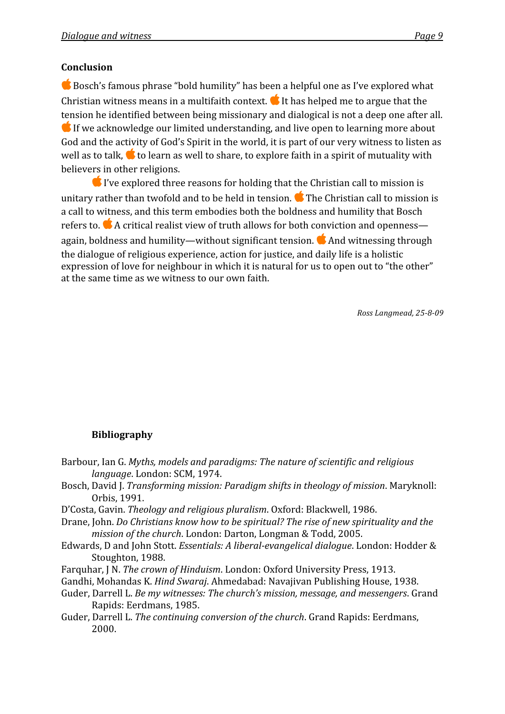## **Conclusion**

■ Bosch's famous phrase "bold humility" has been a helpful one as I've explored what Christian witness means in a multifaith context. It has helped me to argue that the tension
he
identified
between
being
missionary
and
dialogical
is
not
a
deep
one
after
all.  $\bullet$  If we acknowledge our limited understanding, and live open to learning more about God and the activity of God's Spirit in the world, it is part of our very witness to listen as well as to talk,  $\bullet$  to learn as well to share, to explore faith in a spirit of mutuality with believers
in
other
religions.

 $\bullet$  I've explored three reasons for holding that the Christian call to mission is unitary rather than twofold and to be held in tension. **The Christian call to mission is** a call to witness, and this term embodies both the boldness and humility that Bosch refers to. A critical realist view of truth allows for both conviction and openness again, boldness and humility—without significant tension. **C** And witnessing through the
dialogue
of
religious
experience,
action
for
justice,
and
daily
life
is
a
holistic expression of love for neighbour in which it is natural for us to open out to "the other" at
the
same
time
as
we
witness
to
our
own
faith.

Ross Langmead, 25-8-09

## **Bibliography**

- Barbour,
Ian
G. *Myths,
models
and
paradigms:
The
nature
of
scientific
and
religious language*.
London:
SCM,
1974.
- Bosch,
David
J. *Transforming
mission:
Paradigm
shifts
in
theology
of
mission*.
Maryknoll: Orbis,
1991.
- D'Costa,
Gavin. *Theology
and
religious
pluralism*.
Oxford:
Blackwell,
1986.
- Drane, John. *Do Christians know how to be spiritual? The rise of new spirituality and the* mission of the church. London: Darton, Longman & Todd, 2005.
- Edwards,
D
and
John
Stott. *Essentials:
A
liberalevangelical
dialogue*.
London:
Hodder
& Stoughton,
1988.
- Farquhar,
J
N. *The
crown
of
Hinduism*.
London:
Oxford
University
Press,
1913.
- Gandhi,
Mohandas
K. *Hind
Swaraj*.
Ahmedabad:
Navajivan
Publishing
House,
1938.
- Guder,
Darrell
L. *Be
my
witnesses:
The
church's
mission,
message,
and
messengers*.
Grand Rapids:
Eerdmans,
1985.
- Guder,
Darrell
L. *The
continuing
conversion
of
the
church*.
Grand
Rapids:
Eerdmans, 2000.